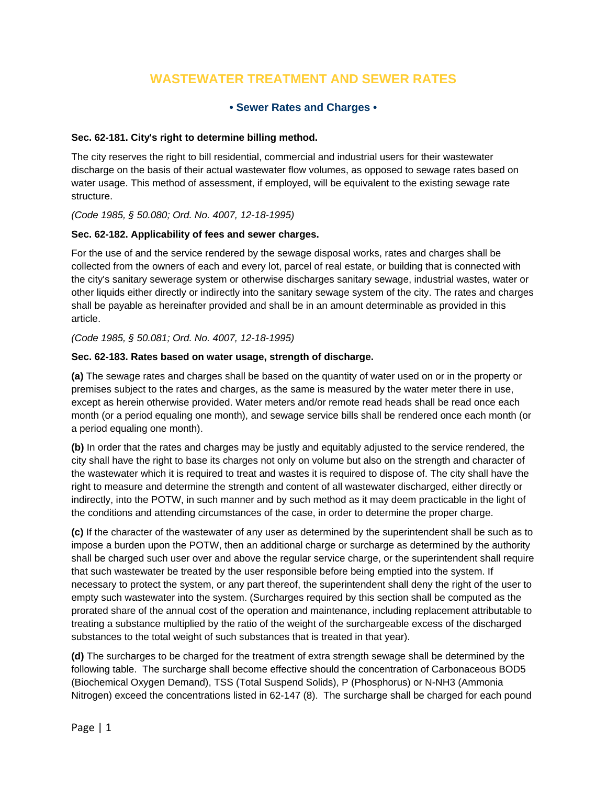# **WASTEWATER TREATMENT AND SEWER RATES**

# **• Sewer Rates and Charges •**

#### **Sec. 62-181. City's right to determine billing method.**

The city reserves the right to bill residential, commercial and industrial users for their wastewater discharge on the basis of their actual wastewater flow volumes, as opposed to sewage rates based on water usage. This method of assessment, if employed, will be equivalent to the existing sewage rate structure.

*(Code 1985, § 50.080; Ord. No. 4007, 12-18-1995)* 

#### **Sec. 62-182. Applicability of fees and sewer charges.**

For the use of and the service rendered by the sewage disposal works, rates and charges shall be collected from the owners of each and every lot, parcel of real estate, or building that is connected with the city's sanitary sewerage system or otherwise discharges sanitary sewage, industrial wastes, water or other liquids either directly or indirectly into the sanitary sewage system of the city. The rates and charges shall be payable as hereinafter provided and shall be in an amount determinable as provided in this article.

#### *(Code 1985, § 50.081; Ord. No. 4007, 12-18-1995)*

#### **Sec. 62-183. Rates based on water usage, strength of discharge.**

**(a)** The sewage rates and charges shall be based on the quantity of water used on or in the property or premises subject to the rates and charges, as the same is measured by the water meter there in use, except as herein otherwise provided. Water meters and/or remote read heads shall be read once each month (or a period equaling one month), and sewage service bills shall be rendered once each month (or a period equaling one month).

**(b)** In order that the rates and charges may be justly and equitably adjusted to the service rendered, the city shall have the right to base its charges not only on volume but also on the strength and character of the wastewater which it is required to treat and wastes it is required to dispose of. The city shall have the right to measure and determine the strength and content of all wastewater discharged, either directly or indirectly, into the POTW, in such manner and by such method as it may deem practicable in the light of the conditions and attending circumstances of the case, in order to determine the proper charge.

**(c)** If the character of the wastewater of any user as determined by the superintendent shall be such as to impose a burden upon the POTW, then an additional charge or surcharge as determined by the authority shall be charged such user over and above the regular service charge, or the superintendent shall require that such wastewater be treated by the user responsible before being emptied into the system. If necessary to protect the system, or any part thereof, the superintendent shall deny the right of the user to empty such wastewater into the system. (Surcharges required by this section shall be computed as the prorated share of the annual cost of the operation and maintenance, including replacement attributable to treating a substance multiplied by the ratio of the weight of the surchargeable excess of the discharged substances to the total weight of such substances that is treated in that year).

**(d)** The surcharges to be charged for the treatment of extra strength sewage shall be determined by the following table. The surcharge shall become effective should the concentration of Carbonaceous BOD5 (Biochemical Oxygen Demand), TSS (Total Suspend Solids), P (Phosphorus) or N-NH3 (Ammonia Nitrogen) exceed the concentrations listed in 62-147 (8). The surcharge shall be charged for each pound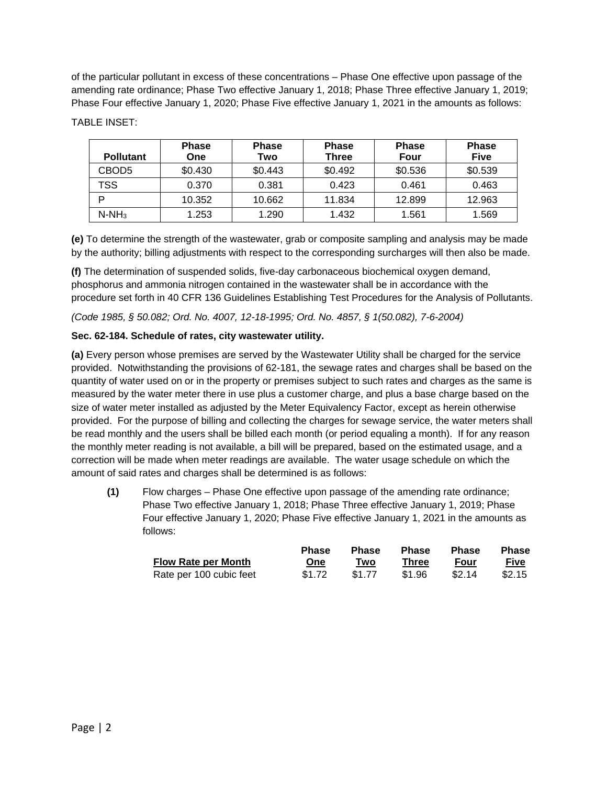of the particular pollutant in excess of these concentrations – Phase One effective upon passage of the amending rate ordinance; Phase Two effective January 1, 2018; Phase Three effective January 1, 2019; Phase Four effective January 1, 2020; Phase Five effective January 1, 2021 in the amounts as follows:

|                  | <b>Phase</b> | <b>Phase</b> | <b>Phase</b> | <b>Phase</b> | <b>Phase</b> |
|------------------|--------------|--------------|--------------|--------------|--------------|
| <b>Pollutant</b> | One          | Two          | <b>Three</b> | Four         | <b>Five</b>  |
| CBOD5            | \$0.430      | \$0.443      | \$0.492      | \$0.536      | \$0.539      |
| TSS              | 0.370        | 0.381        | 0.423        | 0.461        | 0.463        |
|                  | 10.352       | 10.662       | 11.834       | 12.899       | 12.963       |
| $N-NH_3$         | 1.253        | 1.290        | 1.432        | 1.561        | 1.569        |

TABLE INSET:

**(e)** To determine the strength of the wastewater, grab or composite sampling and analysis may be made by the authority; billing adjustments with respect to the corresponding surcharges will then also be made.

**(f)** The determination of suspended solids, five-day carbonaceous biochemical oxygen demand, phosphorus and ammonia nitrogen contained in the wastewater shall be in accordance with the procedure set forth in 40 CFR 136 Guidelines Establishing Test Procedures for the Analysis of Pollutants.

*(Code 1985, § 50.082; Ord. No. 4007, 12-18-1995; Ord. No. 4857, § 1(50.082), 7-6-2004)* 

## **Sec. 62-184. Schedule of rates, city wastewater utility.**

**(a)** Every person whose premises are served by the Wastewater Utility shall be charged for the service provided. Notwithstanding the provisions of 62-181, the sewage rates and charges shall be based on the quantity of water used on or in the property or premises subject to such rates and charges as the same is measured by the water meter there in use plus a customer charge, and plus a base charge based on the size of water meter installed as adjusted by the Meter Equivalency Factor, except as herein otherwise provided. For the purpose of billing and collecting the charges for sewage service, the water meters shall be read monthly and the users shall be billed each month (or period equaling a month). If for any reason the monthly meter reading is not available, a bill will be prepared, based on the estimated usage, and a correction will be made when meter readings are available. The water usage schedule on which the amount of said rates and charges shall be determined is as follows:

**(1)** Flow charges – Phase One effective upon passage of the amending rate ordinance; Phase Two effective January 1, 2018; Phase Three effective January 1, 2019; Phase Four effective January 1, 2020; Phase Five effective January 1, 2021 in the amounts as follows:

|                            | <b>Phase</b> | <b>Phase</b> | <b>Phase</b> | <b>Phase</b> | <b>Phase</b> |
|----------------------------|--------------|--------------|--------------|--------------|--------------|
| <b>Flow Rate per Month</b> | One          | Two          | Three        | Four         | <b>Five</b>  |
| Rate per 100 cubic feet    | \$1.72       | \$1.77       | \$1.96       | \$2.14       | \$2.15       |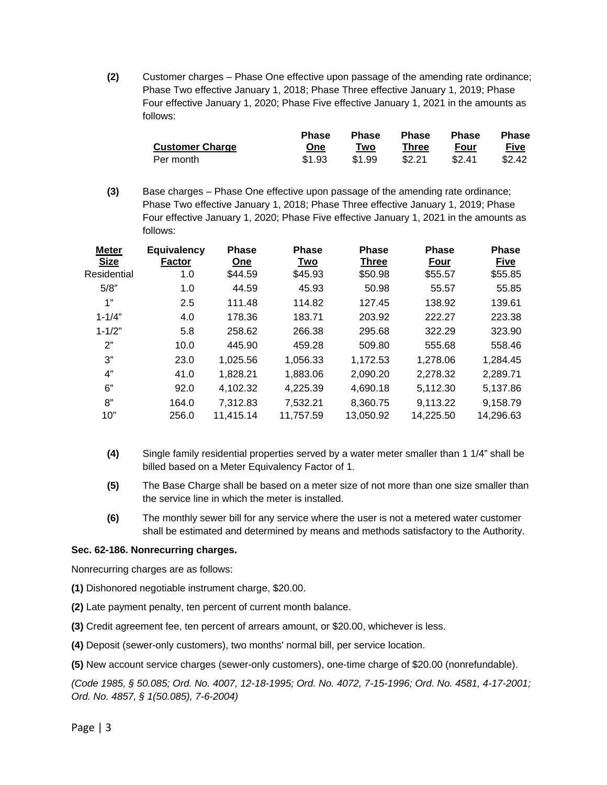**(2)** Customer charges – Phase One effective upon passage of the amending rate ordinance; Phase Two effective January 1, 2018; Phase Three effective January 1, 2019; Phase Four effective January 1, 2020; Phase Five effective January 1, 2021 in the amounts as follows:

|                        | <b>Phase</b> | <b>Phase</b> | <b>Phase</b> | <b>Phase</b> | <b>Phase</b> |
|------------------------|--------------|--------------|--------------|--------------|--------------|
| <b>Customer Charge</b> | One          | Two          | Three        | Four         | Five         |
| Per month              | \$1.93       | \$1.99       | \$2.21       | \$2.41       | \$2.42       |

**(3)** Base charges – Phase One effective upon passage of the amending rate ordinance; Phase Two effective January 1, 2018; Phase Three effective January 1, 2019; Phase Four effective January 1, 2020; Phase Five effective January 1, 2021 in the amounts as follows:

| <b>Meter</b><br><b>Size</b> | <b>Equivalency</b><br><b>Factor</b> | <b>Phase</b><br>One | <b>Phase</b><br>Two | <b>Phase</b><br><b>Three</b> | <b>Phase</b><br>Four | <b>Phase</b><br><b>Five</b> |
|-----------------------------|-------------------------------------|---------------------|---------------------|------------------------------|----------------------|-----------------------------|
| Residential                 | 1.0                                 | \$44.59             | \$45.93             | \$50.98                      | \$55.57              | \$55.85                     |
| 5/8"                        | 1.0                                 | 44.59               | 45.93               | 50.98                        | 55.57                | 55.85                       |
| 1"                          | 2.5                                 | 111.48              | 114.82              | 127.45                       | 138.92               | 139.61                      |
| $1 - 1/4"$                  | 4.0                                 | 178.36              | 183.71              | 203.92                       | 222.27               | 223.38                      |
| $1 - 1/2"$                  | 5.8                                 | 258.62              | 266.38              | 295.68                       | 322.29               | 323.90                      |
| 2"                          | 10.0                                | 445.90              | 459.28              | 509.80                       | 555.68               | 558.46                      |
| 3"                          | 23.0                                | 1,025.56            | 1,056.33            | 1,172.53                     | 1,278.06             | 1.284.45                    |
| 4"                          | 41.0                                | 1,828.21            | 1,883.06            | 2,090.20                     | 2,278.32             | 2,289.71                    |
| 6"                          | 92.0                                | 4,102.32            | 4,225.39            | 4.690.18                     | 5,112.30             | 5.137.86                    |
| 8"                          | 164.0                               | 7,312.83            | 7,532.21            | 8,360.75                     | 9,113.22             | 9,158.79                    |
| 10"                         | 256.0                               | 11,415.14           | 11,757.59           | 13,050.92                    | 14,225.50            | 14,296.63                   |

- **(4)** Single family residential properties served by a water meter smaller than 1 1/4" shall be billed based on a Meter Equivalency Factor of 1.
- **(5)** The Base Charge shall be based on a meter size of not more than one size smaller than the service line in which the meter is installed.
- **(6)** The monthly sewer bill for any service where the user is not a metered water customer shall be estimated and determined by means and methods satisfactory to the Authority.

#### **Sec. 62-186. Nonrecurring charges.**

Nonrecurring charges are as follows:

- **(1)** Dishonored negotiable instrument charge, \$20.00.
- **(2)** Late payment penalty, ten percent of current month balance.
- **(3)** Credit agreement fee, ten percent of arrears amount, or \$20.00, whichever is less.
- **(4)** Deposit (sewer-only customers), two months' normal bill, per service location.

**(5)** New account service charges (sewer-only customers), one-time charge of \$20.00 (nonrefundable).

*(Code 1985, § 50.085; Ord. No. 4007, 12-18-1995; Ord. No. 4072, 7-15-1996; Ord. No. 4581, 4-17-2001; Ord. No. 4857, § 1(50.085), 7-6-2004)*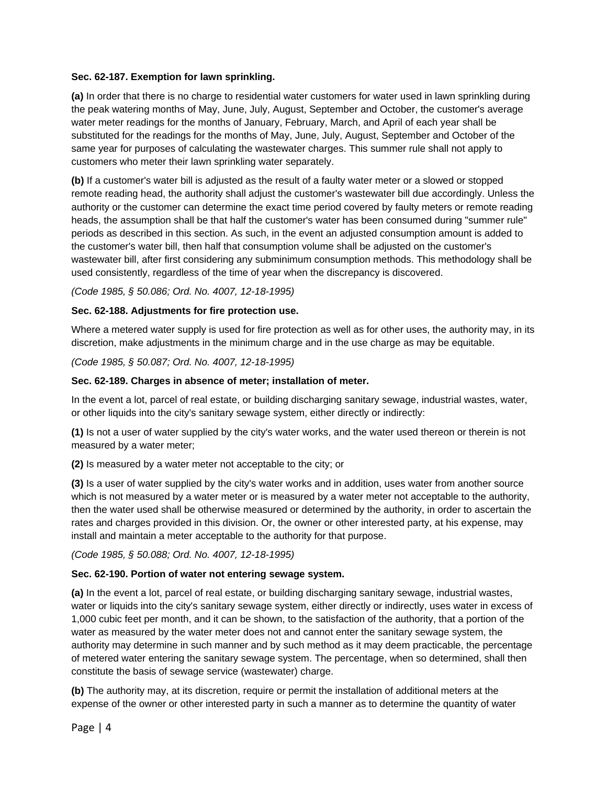#### **Sec. 62-187. Exemption for lawn sprinkling.**

**(a)** In order that there is no charge to residential water customers for water used in lawn sprinkling during the peak watering months of May, June, July, August, September and October, the customer's average water meter readings for the months of January, February, March, and April of each year shall be substituted for the readings for the months of May, June, July, August, September and October of the same year for purposes of calculating the wastewater charges. This summer rule shall not apply to customers who meter their lawn sprinkling water separately.

**(b)** If a customer's water bill is adjusted as the result of a faulty water meter or a slowed or stopped remote reading head, the authority shall adjust the customer's wastewater bill due accordingly. Unless the authority or the customer can determine the exact time period covered by faulty meters or remote reading heads, the assumption shall be that half the customer's water has been consumed during "summer rule" periods as described in this section. As such, in the event an adjusted consumption amount is added to the customer's water bill, then half that consumption volume shall be adjusted on the customer's wastewater bill, after first considering any subminimum consumption methods. This methodology shall be used consistently, regardless of the time of year when the discrepancy is discovered.

*(Code 1985, § 50.086; Ord. No. 4007, 12-18-1995)* 

#### **Sec. 62-188. Adjustments for fire protection use.**

Where a metered water supply is used for fire protection as well as for other uses, the authority may, in its discretion, make adjustments in the minimum charge and in the use charge as may be equitable.

*(Code 1985, § 50.087; Ord. No. 4007, 12-18-1995)* 

#### **Sec. 62-189. Charges in absence of meter; installation of meter.**

In the event a lot, parcel of real estate, or building discharging sanitary sewage, industrial wastes, water, or other liquids into the city's sanitary sewage system, either directly or indirectly:

**(1)** Is not a user of water supplied by the city's water works, and the water used thereon or therein is not measured by a water meter;

**(2)** Is measured by a water meter not acceptable to the city; or

**(3)** Is a user of water supplied by the city's water works and in addition, uses water from another source which is not measured by a water meter or is measured by a water meter not acceptable to the authority, then the water used shall be otherwise measured or determined by the authority, in order to ascertain the rates and charges provided in this division. Or, the owner or other interested party, at his expense, may install and maintain a meter acceptable to the authority for that purpose.

*(Code 1985, § 50.088; Ord. No. 4007, 12-18-1995)* 

#### **Sec. 62-190. Portion of water not entering sewage system.**

**(a)** In the event a lot, parcel of real estate, or building discharging sanitary sewage, industrial wastes, water or liquids into the city's sanitary sewage system, either directly or indirectly, uses water in excess of 1,000 cubic feet per month, and it can be shown, to the satisfaction of the authority, that a portion of the water as measured by the water meter does not and cannot enter the sanitary sewage system, the authority may determine in such manner and by such method as it may deem practicable, the percentage of metered water entering the sanitary sewage system. The percentage, when so determined, shall then constitute the basis of sewage service (wastewater) charge.

**(b)** The authority may, at its discretion, require or permit the installation of additional meters at the expense of the owner or other interested party in such a manner as to determine the quantity of water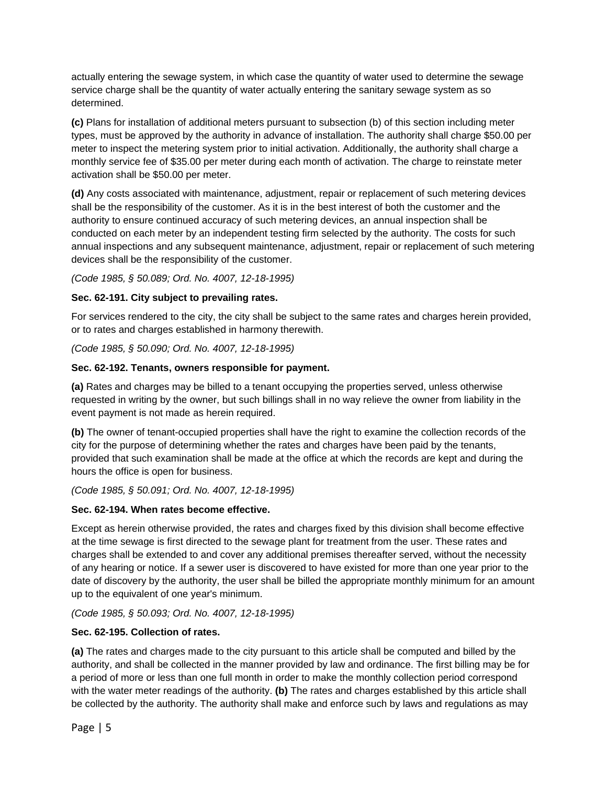actually entering the sewage system, in which case the quantity of water used to determine the sewage service charge shall be the quantity of water actually entering the sanitary sewage system as so determined.

**(c)** Plans for installation of additional meters pursuant to subsection (b) of this section including meter types, must be approved by the authority in advance of installation. The authority shall charge \$50.00 per meter to inspect the metering system prior to initial activation. Additionally, the authority shall charge a monthly service fee of \$35.00 per meter during each month of activation. The charge to reinstate meter activation shall be \$50.00 per meter.

**(d)** Any costs associated with maintenance, adjustment, repair or replacement of such metering devices shall be the responsibility of the customer. As it is in the best interest of both the customer and the authority to ensure continued accuracy of such metering devices, an annual inspection shall be conducted on each meter by an independent testing firm selected by the authority. The costs for such annual inspections and any subsequent maintenance, adjustment, repair or replacement of such metering devices shall be the responsibility of the customer.

*(Code 1985, § 50.089; Ord. No. 4007, 12-18-1995)* 

## **Sec. 62-191. City subject to prevailing rates.**

For services rendered to the city, the city shall be subject to the same rates and charges herein provided, or to rates and charges established in harmony therewith.

*(Code 1985, § 50.090; Ord. No. 4007, 12-18-1995)* 

## **Sec. 62-192. Tenants, owners responsible for payment.**

**(a)** Rates and charges may be billed to a tenant occupying the properties served, unless otherwise requested in writing by the owner, but such billings shall in no way relieve the owner from liability in the event payment is not made as herein required.

**(b)** The owner of tenant-occupied properties shall have the right to examine the collection records of the city for the purpose of determining whether the rates and charges have been paid by the tenants, provided that such examination shall be made at the office at which the records are kept and during the hours the office is open for business.

*(Code 1985, § 50.091; Ord. No. 4007, 12-18-1995)* 

# **Sec. 62-194. When rates become effective.**

Except as herein otherwise provided, the rates and charges fixed by this division shall become effective at the time sewage is first directed to the sewage plant for treatment from the user. These rates and charges shall be extended to and cover any additional premises thereafter served, without the necessity of any hearing or notice. If a sewer user is discovered to have existed for more than one year prior to the date of discovery by the authority, the user shall be billed the appropriate monthly minimum for an amount up to the equivalent of one year's minimum.

*(Code 1985, § 50.093; Ord. No. 4007, 12-18-1995)* 

# **Sec. 62-195. Collection of rates.**

**(a)** The rates and charges made to the city pursuant to this article shall be computed and billed by the authority, and shall be collected in the manner provided by law and ordinance. The first billing may be for a period of more or less than one full month in order to make the monthly collection period correspond with the water meter readings of the authority. **(b)** The rates and charges established by this article shall be collected by the authority. The authority shall make and enforce such by laws and regulations as may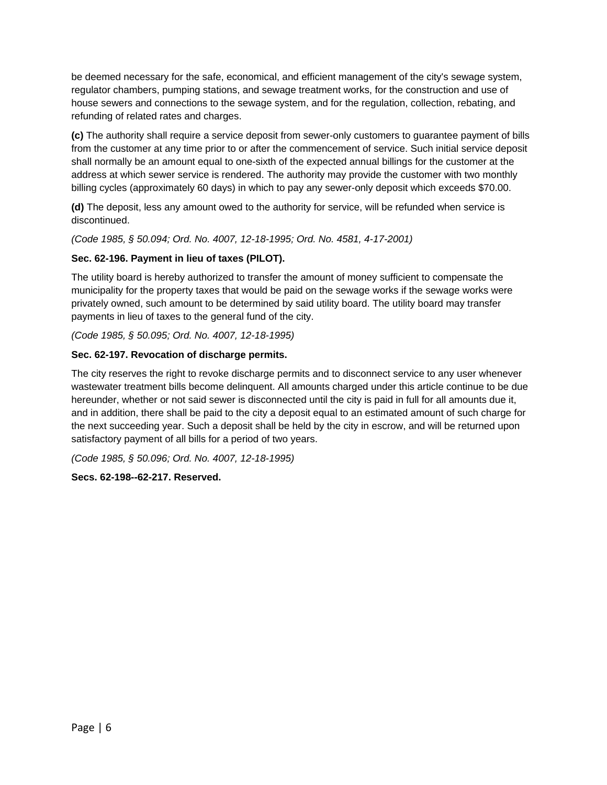be deemed necessary for the safe, economical, and efficient management of the city's sewage system, regulator chambers, pumping stations, and sewage treatment works, for the construction and use of house sewers and connections to the sewage system, and for the regulation, collection, rebating, and refunding of related rates and charges.

**(c)** The authority shall require a service deposit from sewer-only customers to guarantee payment of bills from the customer at any time prior to or after the commencement of service. Such initial service deposit shall normally be an amount equal to one-sixth of the expected annual billings for the customer at the address at which sewer service is rendered. The authority may provide the customer with two monthly billing cycles (approximately 60 days) in which to pay any sewer-only deposit which exceeds \$70.00.

**(d)** The deposit, less any amount owed to the authority for service, will be refunded when service is discontinued.

*(Code 1985, § 50.094; Ord. No. 4007, 12-18-1995; Ord. No. 4581, 4-17-2001)* 

# **Sec. 62-196. Payment in lieu of taxes (PILOT).**

The utility board is hereby authorized to transfer the amount of money sufficient to compensate the municipality for the property taxes that would be paid on the sewage works if the sewage works were privately owned, such amount to be determined by said utility board. The utility board may transfer payments in lieu of taxes to the general fund of the city.

*(Code 1985, § 50.095; Ord. No. 4007, 12-18-1995)* 

## **Sec. 62-197. Revocation of discharge permits.**

The city reserves the right to revoke discharge permits and to disconnect service to any user whenever wastewater treatment bills become delinquent. All amounts charged under this article continue to be due hereunder, whether or not said sewer is disconnected until the city is paid in full for all amounts due it, and in addition, there shall be paid to the city a deposit equal to an estimated amount of such charge for the next succeeding year. Such a deposit shall be held by the city in escrow, and will be returned upon satisfactory payment of all bills for a period of two years.

*(Code 1985, § 50.096; Ord. No. 4007, 12-18-1995)* 

# **Secs. 62-198--62-217. Reserved.**